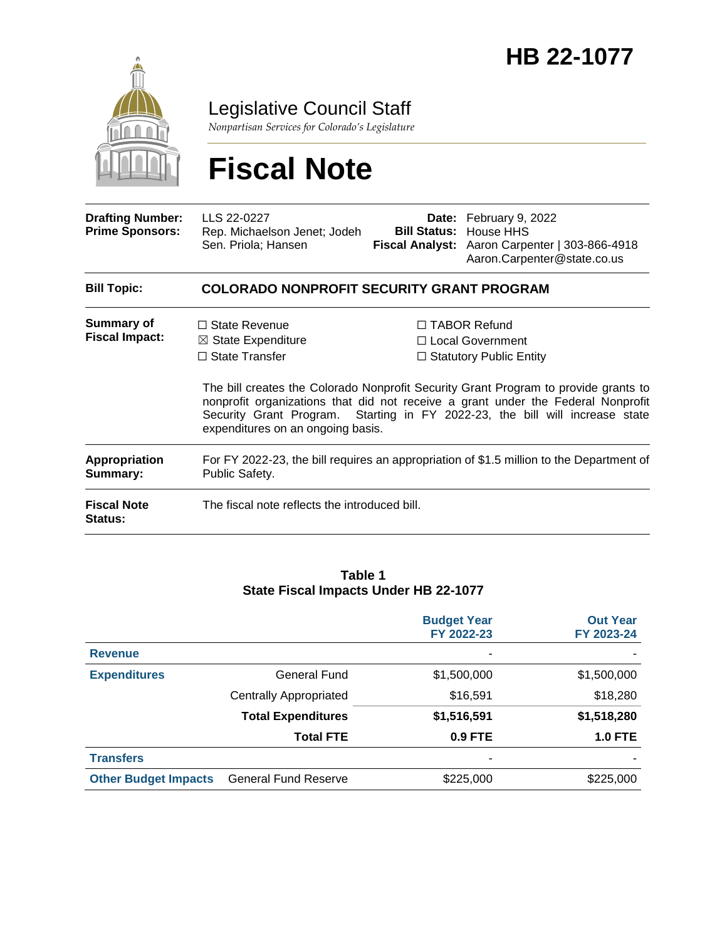

Legislative Council Staff

*Nonpartisan Services for Colorado's Legislature*

# **Fiscal Note**

| <b>Drafting Number:</b><br><b>Prime Sponsors:</b> | LLS 22-0227<br>Rep. Michaelson Jenet; Jodeh<br>Sen. Priola; Hansen                                                  | <b>Bill Status:</b> | Date: February 9, 2022<br>House HHS<br>Fiscal Analyst: Aaron Carpenter   303-866-4918<br>Aaron.Carpenter@state.co.us                                                                                                                                                                                                                        |  |  |  |
|---------------------------------------------------|---------------------------------------------------------------------------------------------------------------------|---------------------|---------------------------------------------------------------------------------------------------------------------------------------------------------------------------------------------------------------------------------------------------------------------------------------------------------------------------------------------|--|--|--|
| <b>Bill Topic:</b>                                | <b>COLORADO NONPROFIT SECURITY GRANT PROGRAM</b>                                                                    |                     |                                                                                                                                                                                                                                                                                                                                             |  |  |  |
| <b>Summary of</b><br><b>Fiscal Impact:</b>        | $\Box$ State Revenue<br>$\boxtimes$ State Expenditure<br>$\Box$ State Transfer<br>expenditures on an ongoing basis. |                     | $\Box$ TABOR Refund<br>$\Box$ Local Government<br>$\Box$ Statutory Public Entity<br>The bill creates the Colorado Nonprofit Security Grant Program to provide grants to<br>nonprofit organizations that did not receive a grant under the Federal Nonprofit<br>Security Grant Program. Starting in FY 2022-23, the bill will increase state |  |  |  |
| <b>Appropriation</b><br>Summary:                  | For FY 2022-23, the bill requires an appropriation of \$1.5 million to the Department of<br>Public Safety.          |                     |                                                                                                                                                                                                                                                                                                                                             |  |  |  |
| <b>Fiscal Note</b><br>Status:                     | The fiscal note reflects the introduced bill.                                                                       |                     |                                                                                                                                                                                                                                                                                                                                             |  |  |  |

#### **Table 1 State Fiscal Impacts Under HB 22-1077**

|                             |                               | <b>Budget Year</b><br>FY 2022-23 | <b>Out Year</b><br>FY 2023-24 |
|-----------------------------|-------------------------------|----------------------------------|-------------------------------|
| <b>Revenue</b>              |                               | ٠                                |                               |
| <b>Expenditures</b>         | General Fund                  | \$1,500,000                      | \$1,500,000                   |
|                             | <b>Centrally Appropriated</b> | \$16,591                         | \$18,280                      |
|                             | <b>Total Expenditures</b>     | \$1,516,591                      | \$1,518,280                   |
|                             | <b>Total FTE</b>              | 0.9 FTE                          | $1.0$ FTE                     |
| <b>Transfers</b>            |                               | $\overline{\phantom{a}}$         |                               |
| <b>Other Budget Impacts</b> | <b>General Fund Reserve</b>   | \$225,000                        | \$225,000                     |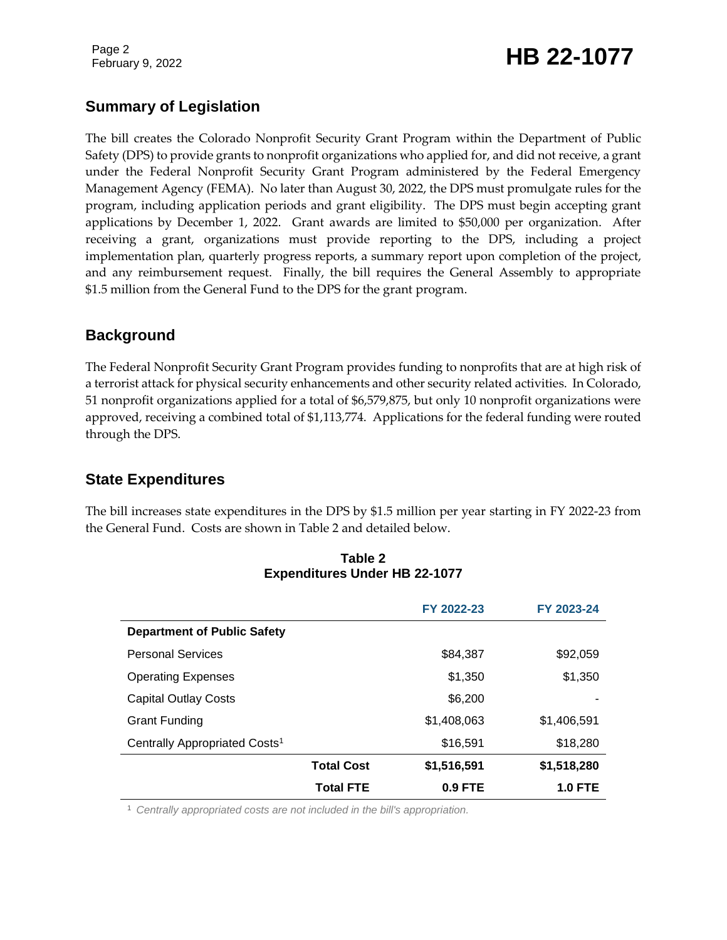Page 2

# February 9, 2022 **HB 22-1077**

# **Summary of Legislation**

The bill creates the Colorado Nonprofit Security Grant Program within the Department of Public Safety (DPS) to provide grants to nonprofit organizations who applied for, and did not receive, a grant under the Federal Nonprofit Security Grant Program administered by the Federal Emergency Management Agency (FEMA). No later than August 30, 2022, the DPS must promulgate rules for the program, including application periods and grant eligibility. The DPS must begin accepting grant applications by December 1, 2022. Grant awards are limited to \$50,000 per organization. After receiving a grant, organizations must provide reporting to the DPS, including a project implementation plan, quarterly progress reports, a summary report upon completion of the project, and any reimbursement request. Finally, the bill requires the General Assembly to appropriate \$1.5 million from the General Fund to the DPS for the grant program.

# **Background**

The Federal Nonprofit Security Grant Program provides funding to nonprofits that are at high risk of a terrorist attack for physical security enhancements and other security related activities. In Colorado, 51 nonprofit organizations applied for a total of \$6,579,875, but only 10 nonprofit organizations were approved, receiving a combined total of \$1,113,774. Applications for the federal funding were routed through the DPS.

# **State Expenditures**

The bill increases state expenditures in the DPS by \$1.5 million per year starting in FY 2022-23 from the General Fund. Costs are shown in Table 2 and detailed below.

|                                           |                   | FY 2022-23  | FY 2023-24     |
|-------------------------------------------|-------------------|-------------|----------------|
| <b>Department of Public Safety</b>        |                   |             |                |
| <b>Personal Services</b>                  |                   | \$84,387    | \$92,059       |
| <b>Operating Expenses</b>                 |                   | \$1,350     | \$1,350        |
| <b>Capital Outlay Costs</b>               |                   | \$6,200     |                |
| <b>Grant Funding</b>                      |                   | \$1,408,063 | \$1,406,591    |
| Centrally Appropriated Costs <sup>1</sup> |                   | \$16,591    | \$18,280       |
|                                           | <b>Total Cost</b> | \$1,516,591 | \$1,518,280    |
|                                           | <b>Total FTE</b>  | $0.9$ FTE   | <b>1.0 FTE</b> |

#### **Table 2 Expenditures Under HB 22-1077**

<sup>1</sup> *Centrally appropriated costs are not included in the bill's appropriation.*